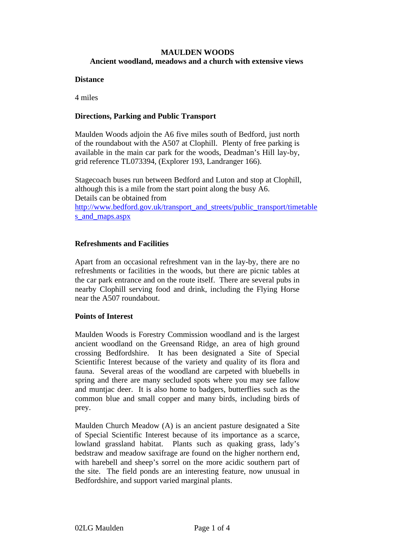## **MAULDEN WOODS Ancient woodland, meadows and a church with extensive views**

#### **Distance**

4 miles

## **Directions, Parking and Public Transport**

Maulden Woods adjoin the A6 five miles south of Bedford, just north of the roundabout with the A507 at Clophill.Plenty of free parking is available in the main car park for the woods, Deadman's Hill lay-by, grid reference TL073394, (Explorer 193, Landranger 166).

Stagecoach buses run between Bedford and Luton and stop at Clophill, although this is a mile from the start point along the busy A6. Details can be obtained from http://www.bedford.gov.uk/transport\_and\_streets/public\_transport/timetable s and maps.aspx

# **Refreshments and Facilities**

Apart from an occasional refreshment van in the lay-by, there are no refreshments or facilities in the woods, but there are picnic tables at the car park entrance and on the route itself. There are several pubs in nearby Clophill serving food and drink, including the Flying Horse near the A507 roundabout.

### **Points of Interest**

Maulden Woods is Forestry Commission woodland and is the largest ancient woodland on the Greensand Ridge, an area of high ground crossing Bedfordshire. It has been designated a Site of Special Scientific Interest because of the variety and quality of its flora and fauna. Several areas of the woodland are carpeted with bluebells in spring and there are many secluded spots where you may see fallow and muntjac deer. It is also home to badgers, butterflies such as the common blue and small copper and many birds, including birds of prey.

Maulden Church Meadow (A) is an ancient pasture designated a Site of Special Scientific Interest because of its importance as a scarce, lowland grassland habitat. Plants such as quaking grass, lady's bedstraw and meadow saxifrage are found on the higher northern end, with harebell and sheep's sorrel on the more acidic southern part of the site. The field ponds are an interesting feature, now unusual in Bedfordshire, and support varied marginal plants.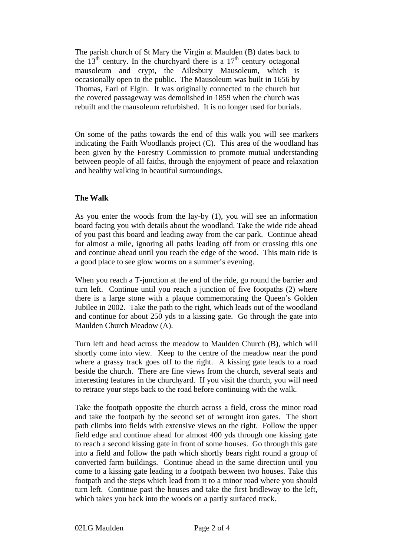The parish church of St Mary the Virgin at Maulden (B) dates back to the 13<sup>th</sup> century. In the churchyard there is a  $17<sup>th</sup>$  century octagonal mausoleum and crypt, the Ailesbury Mausoleum, which is occasionally open to the public. The Mausoleum was built in 1656 by Thomas, Earl of Elgin. It was originally connected to the church but the covered passageway was demolished in 1859 when the church was rebuilt and the mausoleum refurbished. It is no longer used for burials.

On some of the paths towards the end of this walk you will see markers indicating the Faith Woodlands project (C). This area of the woodland has been given by the Forestry Commission to promote mutual understanding between people of all faiths, through the enjoyment of peace and relaxation and healthy walking in beautiful surroundings.

# **The Walk**

As you enter the woods from the lay-by (1), you will see an information board facing you with details about the woodland. Take the wide ride ahead of you past this board and leading away from the car park. Continue ahead for almost a mile, ignoring all paths leading off from or crossing this one and continue ahead until you reach the edge of the wood. This main ride is a good place to see glow worms on a summer's evening.

When you reach a T-junction at the end of the ride, go round the barrier and turn left. Continue until you reach a junction of five footpaths (2) where there is a large stone with a plaque commemorating the Queen's Golden Jubilee in 2002. Take the path to the right, which leads out of the woodland and continue for about 250 yds to a kissing gate. Go through the gate into Maulden Church Meadow (A).

Turn left and head across the meadow to Maulden Church (B), which will shortly come into view*.* Keep to the centre of the meadow near the pond where a grassy track goes off to the right. A kissing gate leads to a road beside the church. There are fine views from the church, several seats and interesting features in the churchyard. If you visit the church, you will need to retrace your steps back to the road before continuing with the walk.

Take the footpath opposite the church across a field, cross the minor road and take the footpath by the second set of wrought iron gates. The short path climbs into fields with extensive views on the right. Follow the upper field edge and continue ahead for almost 400 yds through one kissing gate to reach a second kissing gate in front of some houses. Go through this gate into a field and follow the path which shortly bears right round a group of converted farm buildings. Continue ahead in the same direction until you come to a kissing gate leading to a footpath between two houses. Take this footpath and the steps which lead from it to a minor road where you should turn left. Continue past the houses and take the first bridleway to the left, which takes you back into the woods on a partly surfaced track.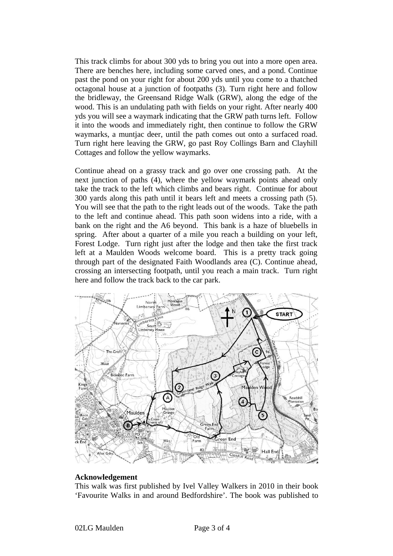This track climbs for about 300 yds to bring you out into a more open area. There are benches here, including some carved ones, and a pond. Continue past the pond on your right for about 200 yds until you come to a thatched octagonal house at a junction of footpaths (3). Turn right here and follow the bridleway, the Greensand Ridge Walk (GRW), along the edge of the wood. This is an undulating path with fields on your right. After nearly 400 yds you will see a waymark indicating that the GRW path turns left. Follow it into the woods and immediately right, then continue to follow the GRW waymarks, a muntjac deer, until the path comes out onto a surfaced road. Turn right here leaving the GRW, go past Roy Collings Barn and Clayhill Cottages and follow the yellow waymarks.

Continue ahead on a grassy track and go over one crossing path. At the next junction of paths (4), where the yellow waymark points ahead only take the track to the left which climbs and bears right. Continue for about 300 yards along this path until it bears left and meets a crossing path (5). You will see that the path to the right leads out of the woods. Take the path to the left and continue ahead. This path soon widens into a ride, with a bank on the right and the A6 beyond. This bank is a haze of bluebells in spring. After about a quarter of a mile you reach a building on your left, Forest Lodge. Turn right just after the lodge and then take the first track left at a Maulden Woods welcome board. This is a pretty track going through part of the designated Faith Woodlands area (C). Continue ahead, crossing an intersecting footpath, until you reach a main track. Turn right here and follow the track back to the car park.



### **Acknowledgement**

This walk was first published by Ivel Valley Walkers in 2010 in their book 'Favourite Walks in and around Bedfordshire'. The book was published to